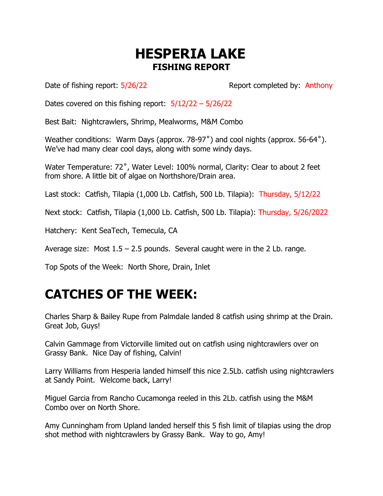## **HESPERIA LAKE FISHING REPORT**

Date of fishing report:  $5/26/22$  Report completed by: Anthony

Dates covered on this fishing report:  $5/12/22 - 5/26/22$ 

Best Bait: Nightcrawlers, Shrimp, Mealworms, M&M Combo

Weather conditions: Warm Days (approx. 78-97˚) and cool nights (approx. 56-64˚). We've had many clear cool days, along with some windy days.

Water Temperature: 72°, Water Level: 100% normal, Clarity: Clear to about 2 feet from shore. A little bit of algae on Northshore/Drain area.

Last stock: Catfish, Tilapia (1,000 Lb. Catfish, 500 Lb. Tilapia): Thursday, 5/12/22

Next stock: Catfish, Tilapia (1,000 Lb. Catfish, 500 Lb. Tilapia): Thursday, 5/26/2022

Hatchery: Kent SeaTech, Temecula, CA

Average size: Most  $1.5 - 2.5$  pounds. Several caught were in the 2 Lb. range.

Top Spots of the Week: North Shore, Drain, Inlet

## **CATCHES OF THE WEEK:**

Charles Sharp & Bailey Rupe from Palmdale landed 8 catfish using shrimp at the Drain. Great Job, Guys!

Calvin Gammage from Victorville limited out on catfish using nightcrawlers over on Grassy Bank. Nice Day of fishing, Calvin!

Larry Williams from Hesperia landed himself this nice 2.5Lb. catfish using nightcrawlers at Sandy Point. Welcome back, Larry!

Miguel Garcia from Rancho Cucamonga reeled in this 2Lb. catfish using the M&M Combo over on North Shore.

Amy Cunningham from Upland landed herself this 5 fish limit of tilapias using the drop shot method with nightcrawlers by Grassy Bank. Way to go, Amy!